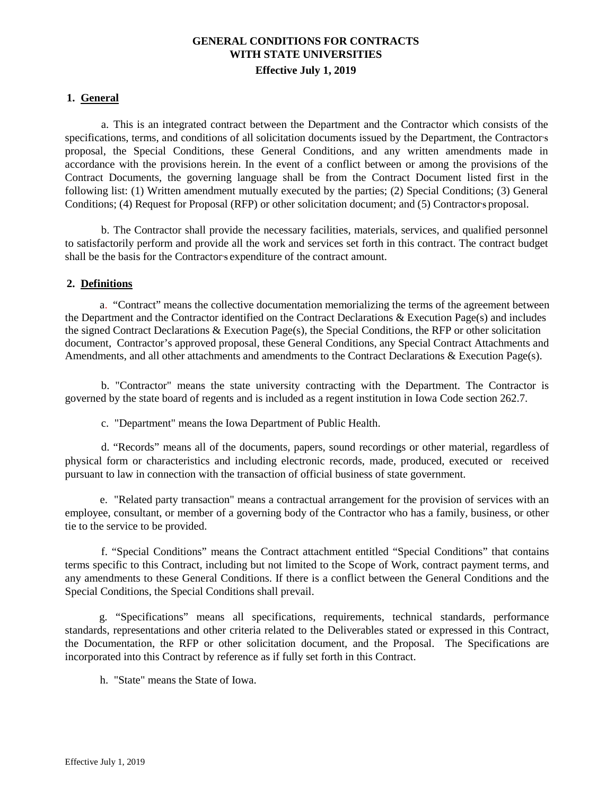# **GENERAL CONDITIONS FOR CONTRACTS WITH STATE UNIVERSITIES Effective July 1, 2019**

#### **1. General**

a. This is an integrated contract between the Department and the Contractor which consists of the specifications, terms, and conditions of all solicitation documents issued by the Department, the Contractors proposal, the Special Conditions, these General Conditions, and any written amendments made in accordance with the provisions herein. In the event of a conflict between or among the provisions of the Contract Documents, the governing language shall be from the Contract Document listed first in the following list: (1) Written amendment mutually executed by the parties; (2) Special Conditions; (3) General Conditions; (4) Request for Proposal (RFP) or other solicitation document; and (5) Contractors proposal.

b. The Contractor shall provide the necessary facilities, materials, services, and qualified personnel to satisfactorily perform and provide all the work and services set forth in this contract. The contract budget shall be the basis for the Contractor's expenditure of the contract amount.

#### **2. Definitions**

a. "Contract" means the collective documentation memorializing the terms of the agreement between the Department and the Contractor identified on the Contract Declarations  $\&$  Execution Page(s) and includes the signed Contract Declarations & Execution Page(s), the Special Conditions, the RFP or other solicitation document, Contractor's approved proposal, these General Conditions, any Special Contract Attachments and Amendments, and all other attachments and amendments to the Contract Declarations & Execution Page(s).

b. "Contractor" means the state university contracting with the Department. The Contractor is governed by the state board of regents and is included as a regent institution in Iowa Code section 262.7.

c. "Department" means the Iowa Department of Public Health.

d. "Records" means all of the documents, papers, sound recordings or other material, regardless of physical form or characteristics and including electronic records, made, produced, executed or received pursuant to law in connection with the transaction of official business of state government.

e. "Related party transaction" means a contractual arrangement for the provision of services with an employee, consultant, or member of a governing body of the Contractor who has a family, business, or other tie to the service to be provided.

f. "Special Conditions" means the Contract attachment entitled "Special Conditions" that contains terms specific to this Contract, including but not limited to the Scope of Work, contract payment terms, and any amendments to these General Conditions. If there is a conflict between the General Conditions and the Special Conditions, the Special Conditions shall prevail.

g. "Specifications" means all specifications, requirements, technical standards, performance standards, representations and other criteria related to the Deliverables stated or expressed in this Contract, the Documentation, the RFP or other solicitation document, and the Proposal. The Specifications are incorporated into this Contract by reference as if fully set forth in this Contract.

h. "State" means the State of Iowa.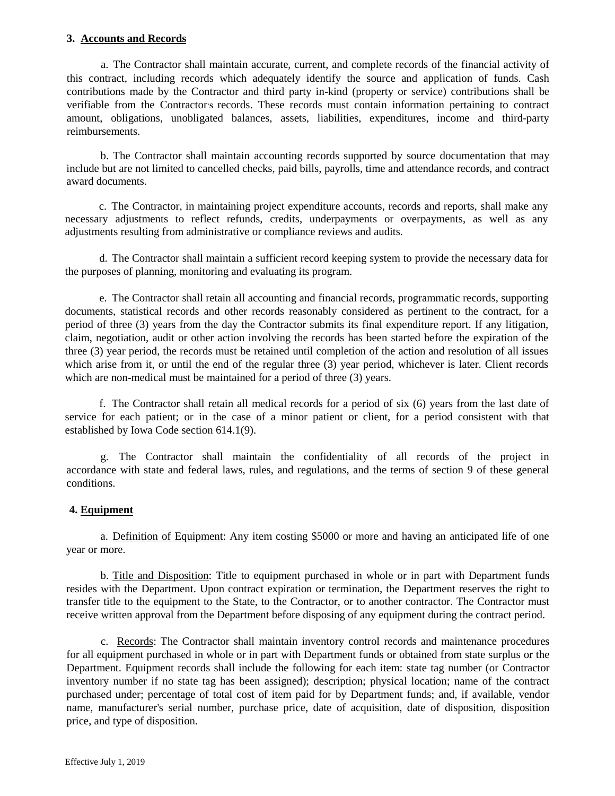# **3. Accounts and Records**

a. The Contractor shall maintain accurate, current, and complete records of the financial activity of this contract, including records which adequately identify the source and application of funds. Cash contributions made by the Contractor and third party in-kind (property or service) contributions shall be verifiable from the Contractor**'S** records. These records must contain information pertaining to contract amount, obligations, unobligated balances, assets, liabilities, expenditures, income and third-party reimbursements.

b. The Contractor shall maintain accounting records supported by source documentation that may include but are not limited to cancelled checks, paid bills, payrolls, time and attendance records, and contract award documents.

c. The Contractor, in maintaining project expenditure accounts, records and reports, shall make any necessary adjustments to reflect refunds, credits, underpayments or overpayments, as well as any adjustments resulting from administrative or compliance reviews and audits.

d. The Contractor shall maintain a sufficient record keeping system to provide the necessary data for the purposes of planning, monitoring and evaluating its program.

e. The Contractor shall retain all accounting and financial records, programmatic records, supporting documents, statistical records and other records reasonably considered as pertinent to the contract, for a period of three (3) years from the day the Contractor submits its final expenditure report. If any litigation, claim, negotiation, audit or other action involving the records has been started before the expiration of the three (3) year period, the records must be retained until completion of the action and resolution of all issues which arise from it, or until the end of the regular three (3) year period, whichever is later. Client records which are non-medical must be maintained for a period of three  $(3)$  years.

f. The Contractor shall retain all medical records for a period of six (6) years from the last date of service for each patient; or in the case of a minor patient or client, for a period consistent with that established by Iowa Code section 614.1(9).

g. The Contractor shall maintain the confidentiality of all records of the project in accordance with state and federal laws, rules, and regulations, and the terms of section 9 of these general conditions.

# **4. Equipment**

a. Definition of Equipment: Any item costing \$5000 or more and having an anticipated life of one year or more.

b. Title and Disposition: Title to equipment purchased in whole or in part with Department funds resides with the Department. Upon contract expiration or termination, the Department reserves the right to transfer title to the equipment to the State, to the Contractor, or to another contractor. The Contractor must receive written approval from the Department before disposing of any equipment during the contract period.

c. Records: The Contractor shall maintain inventory control records and maintenance procedures for all equipment purchased in whole or in part with Department funds or obtained from state surplus or the Department. Equipment records shall include the following for each item: state tag number (or Contractor inventory number if no state tag has been assigned); description; physical location; name of the contract purchased under; percentage of total cost of item paid for by Department funds; and, if available, vendor name, manufacturer's serial number, purchase price, date of acquisition, date of disposition, disposition price, and type of disposition.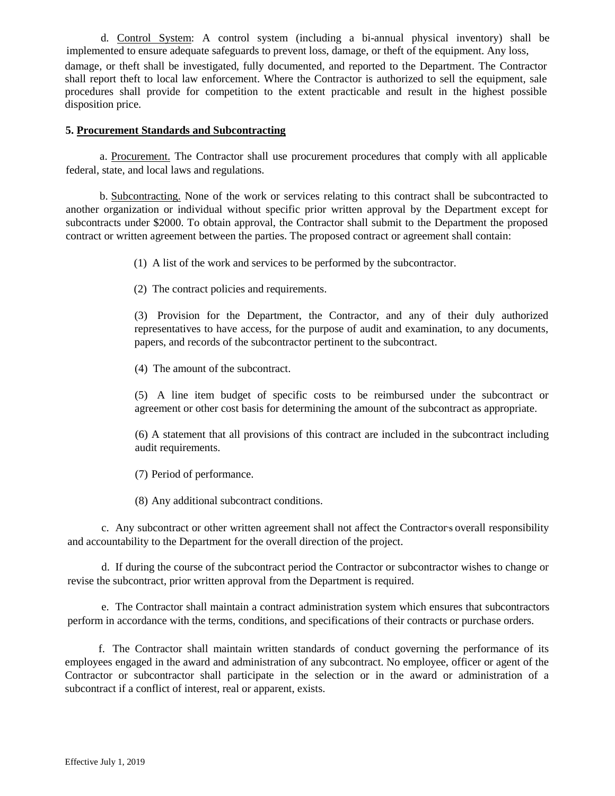d. Control System: A control system (including a bi-annual physical inventory) shall be implemented to ensure adequate safeguards to prevent loss, damage, or theft of the equipment. Any loss, damage, or theft shall be investigated, fully documented, and reported to the Department. The Contractor shall report theft to local law enforcement. Where the Contractor is authorized to sell the equipment, sale procedures shall provide for competition to the extent practicable and result in the highest possible disposition price.

#### **5. Procurement Standards and Subcontracting**

a. Procurement. The Contractor shall use procurement procedures that comply with all applicable federal, state, and local laws and regulations.

b. Subcontracting. None of the work or services relating to this contract shall be subcontracted to another organization or individual without specific prior written approval by the Department except for subcontracts under \$2000. To obtain approval, the Contractor shall submit to the Department the proposed contract or written agreement between the parties. The proposed contract or agreement shall contain:

(1) A list of the work and services to be performed by the subcontractor.

(2) The contract policies and requirements.

(3) Provision for the Department, the Contractor, and any of their duly authorized representatives to have access, for the purpose of audit and examination, to any documents, papers, and records of the subcontractor pertinent to the subcontract.

(4) The amount of the subcontract.

(5) A line item budget of specific costs to be reimbursed under the subcontract or agreement or other cost basis for determining the amount of the subcontract as appropriate.

(6) A statement that all provisions of this contract are included in the subcontract including audit requirements.

(7) Period of performance.

(8) Any additional subcontract conditions.

c. Any subcontract or other written agreement shall not affect the Contractor**'S** overall responsibility and accountability to the Department for the overall direction of the project.

d. If during the course of the subcontract period the Contractor or subcontractor wishes to change or revise the subcontract, prior written approval from the Department is required.

e. The Contractor shall maintain a contract administration system which ensures that subcontractors perform in accordance with the terms, conditions, and specifications of their contracts or purchase orders.

f. The Contractor shall maintain written standards of conduct governing the performance of its employees engaged in the award and administration of any subcontract. No employee, officer or agent of the Contractor or subcontractor shall participate in the selection or in the award or administration of a subcontract if a conflict of interest, real or apparent, exists.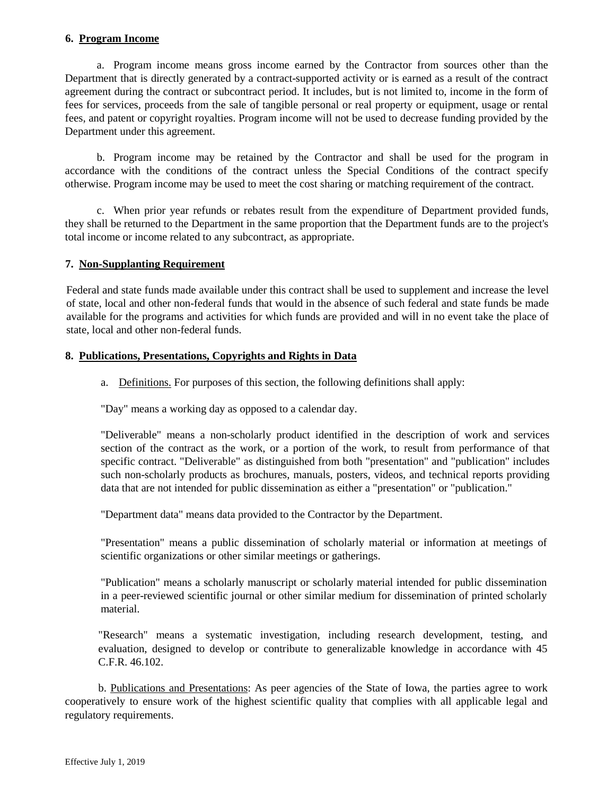# **6. Program Income**

a. Program income means gross income earned by the Contractor from sources other than the Department that is directly generated by a contract-supported activity or is earned as a result of the contract agreement during the contract or subcontract period. It includes, but is not limited to, income in the form of fees for services, proceeds from the sale of tangible personal or real property or equipment, usage or rental fees, and patent or copyright royalties. Program income will not be used to decrease funding provided by the Department under this agreement.

b. Program income may be retained by the Contractor and shall be used for the program in accordance with the conditions of the contract unless the Special Conditions of the contract specify otherwise. Program income may be used to meet the cost sharing or matching requirement of the contract.

c. When prior year refunds or rebates result from the expenditure of Department provided funds, they shall be returned to the Department in the same proportion that the Department funds are to the project's total income or income related to any subcontract, as appropriate.

#### **7. Non-Supplanting Requirement**

Federal and state funds made available under this contract shall be used to supplement and increase the level of state, local and other non-federal funds that would in the absence of such federal and state funds be made available for the programs and activities for which funds are provided and will in no event take the place of state, local and other non-federal funds.

#### **8. Publications, Presentations, Copyrights and Rights in Data**

a. Definitions. For purposes of this section, the following definitions shall apply:

"Day" means a working day as opposed to a calendar day.

"Deliverable" means a non-scholarly product identified in the description of work and services section of the contract as the work, or a portion of the work, to result from performance of that specific contract. "Deliverable" as distinguished from both "presentation" and "publication" includes such non-scholarly products as brochures, manuals, posters, videos, and technical reports providing data that are not intended for public dissemination as either a "presentation" or "publication."

"Department data" means data provided to the Contractor by the Department.

"Presentation" means a public dissemination of scholarly material or information at meetings of scientific organizations or other similar meetings or gatherings.

"Publication" means a scholarly manuscript or scholarly material intended for public dissemination in a peer-reviewed scientific journal or other similar medium for dissemination of printed scholarly material.

"Research" means a systematic investigation, including research development, testing, and evaluation, designed to develop or contribute to generalizable knowledge in accordance with 45 C.F.R. 46.102.

b. Publications and Presentations: As peer agencies of the State of Iowa, the parties agree to work cooperatively to ensure work of the highest scientific quality that complies with all applicable legal and regulatory requirements.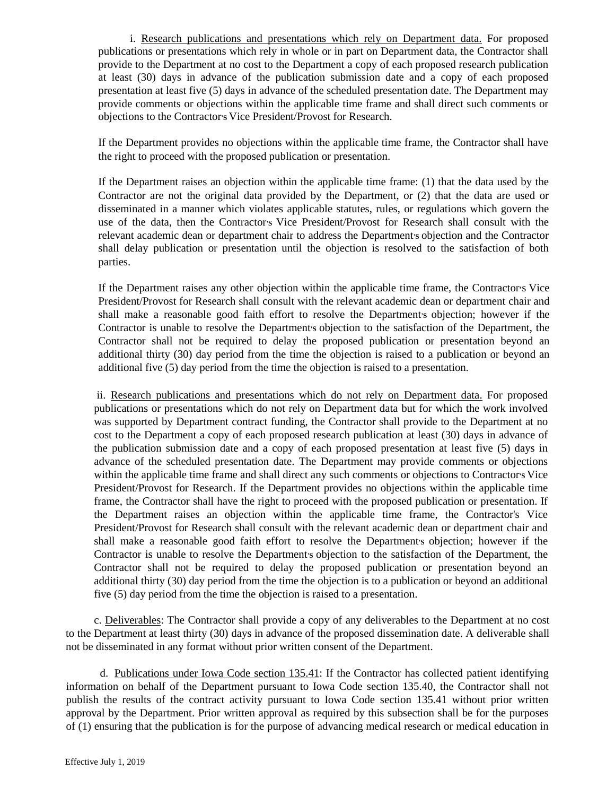i. Research publications and presentations which rely on Department data. For proposed publications or presentations which rely in whole or in part on Department data, the Contractor shall provide to the Department at no cost to the Department a copy of each proposed research publication at least (30) days in advance of the publication submission date and a copy of each proposed presentation at least five (5) days in advance of the scheduled presentation date. The Department may provide comments or objections within the applicable time frame and shall direct such comments or objections to the Contractor**'S** Vice President/Provost for Research.

If the Department provides no objections within the applicable time frame, the Contractor shall have the right to proceed with the proposed publication or presentation.

If the Department raises an objection within the applicable time frame: (1) that the data used by the Contractor are not the original data provided by the Department, or (2) that the data are used or disseminated in a manner which violates applicable statutes, rules, or regulations which govern the use of the data, then the Contractor**'S** Vice President/Provost for Research shall consult with the relevant academic dean or department chair to address the Departments objection and the Contractor shall delay publication or presentation until the objection is resolved to the satisfaction of both parties.

If the Department raises any other objection within the applicable time frame, the Contractor**'**s Vice President/Provost for Research shall consult with the relevant academic dean or department chair and shall make a reasonable good faith effort to resolve the Departments objection; however if the Contractor is unable to resolve the Department**'S** objection to the satisfaction of the Department, the Contractor shall not be required to delay the proposed publication or presentation beyond an additional thirty (30) day period from the time the objection is raised to a publication or beyond an additional five (5) day period from the time the objection is raised to a presentation.

ii. Research publications and presentations which do not rely on Department data. For proposed publications or presentations which do not rely on Department data but for which the work involved was supported by Department contract funding, the Contractor shall provide to the Department at no cost to the Department a copy of each proposed research publication at least (30) days in advance of the publication submission date and a copy of each proposed presentation at least five (5) days in advance of the scheduled presentation date. The Department may provide comments or objections within the applicable time frame and shall direct any such comments or objections to Contractors Vice President/Provost for Research. If the Department provides no objections within the applicable time frame, the Contractor shall have the right to proceed with the proposed publication or presentation. If the Department raises an objection within the applicable time frame, the Contractor's Vice President/Provost for Research shall consult with the relevant academic dean or department chair and shall make a reasonable good faith effort to resolve the Departments objection; however if the Contractor is unable to resolve the Department**'S** objection to the satisfaction of the Department, the Contractor shall not be required to delay the proposed publication or presentation beyond an additional thirty (30) day period from the time the objection is to a publication or beyond an additional five (5) day period from the time the objection is raised to a presentation.

c. Deliverables: The Contractor shall provide a copy of any deliverables to the Department at no cost to the Department at least thirty (30) days in advance of the proposed dissemination date. A deliverable shall not be disseminated in any format without prior written consent of the Department.

d. Publications under Iowa Code section 135.41: If the Contractor has collected patient identifying information on behalf of the Department pursuant to Iowa Code section 135.40, the Contractor shall not publish the results of the contract activity pursuant to Iowa Code section 135.41 without prior written approval by the Department. Prior written approval as required by this subsection shall be for the purposes of (1) ensuring that the publication is for the purpose of advancing medical research or medical education in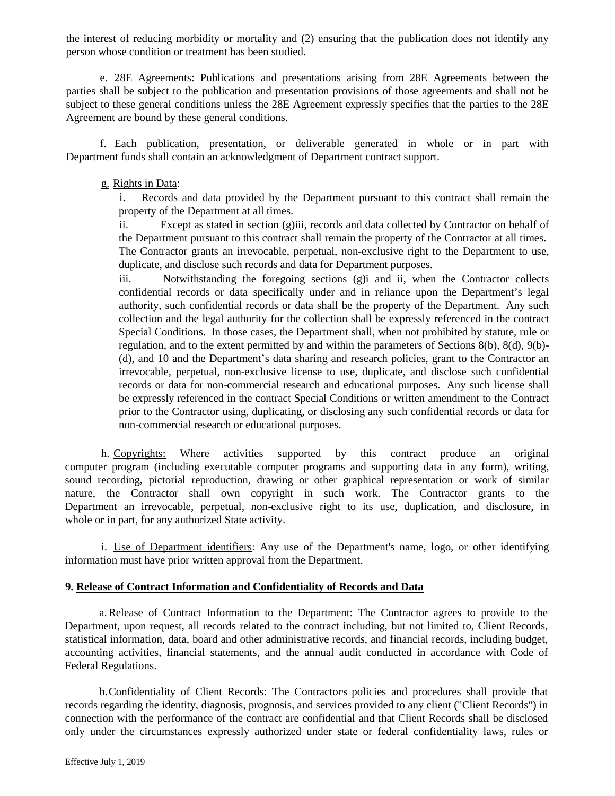the interest of reducing morbidity or mortality and (2) ensuring that the publication does not identify any person whose condition or treatment has been studied.

e. 28E Agreements: Publications and presentations arising from 28E Agreements between the parties shall be subject to the publication and presentation provisions of those agreements and shall not be subject to these general conditions unless the 28E Agreement expressly specifies that the parties to the 28E Agreement are bound by these general conditions.

f. Each publication, presentation, or deliverable generated in whole or in part with Department funds shall contain an acknowledgment of Department contract support.

#### g. Rights in Data:

i. Records and data provided by the Department pursuant to this contract shall remain the property of the Department at all times.

ii. Except as stated in section (g)iii, records and data collected by Contractor on behalf of the Department pursuant to this contract shall remain the property of the Contractor at all times. The Contractor grants an irrevocable, perpetual, non-exclusive right to the Department to use, duplicate, and disclose such records and data for Department purposes.

iii. Notwithstanding the foregoing sections (g)i and ii, when the Contractor collects confidential records or data specifically under and in reliance upon the Department's legal authority, such confidential records or data shall be the property of the Department. Any such collection and the legal authority for the collection shall be expressly referenced in the contract Special Conditions. In those cases, the Department shall, when not prohibited by statute, rule or regulation, and to the extent permitted by and within the parameters of Sections 8(b), 8(d), 9(b)- (d), and 10 and the Department's data sharing and research policies, grant to the Contractor an irrevocable, perpetual, non-exclusive license to use, duplicate, and disclose such confidential records or data for non-commercial research and educational purposes. Any such license shall be expressly referenced in the contract Special Conditions or written amendment to the Contract prior to the Contractor using, duplicating, or disclosing any such confidential records or data for non-commercial research or educational purposes.

h. Copyrights: Where activities supported by this contract produce an original computer program (including executable computer programs and supporting data in any form), writing, sound recording, pictorial reproduction, drawing or other graphical representation or work of similar nature, the Contractor shall own copyright in such work. The Contractor grants to the Department an irrevocable, perpetual, non-exclusive right to its use, duplication, and disclosure, in whole or in part, for any authorized State activity.

i. Use of Department identifiers: Any use of the Department's name, logo, or other identifying information must have prior written approval from the Department.

#### **9. Release of Contract Information and Confidentiality of Records and Data**

a.Release of Contract Information to the Department: The Contractor agrees to provide to the Department, upon request, all records related to the contract including, but not limited to, Client Records, statistical information, data, board and other administrative records, and financial records, including budget, accounting activities, financial statements, and the annual audit conducted in accordance with Code of Federal Regulations.

b.Confidentiality of Client Records: The Contractor**'S** policies and procedures shall provide that records regarding the identity, diagnosis, prognosis, and services provided to any client ("Client Records") in connection with the performance of the contract are confidential and that Client Records shall be disclosed only under the circumstances expressly authorized under state or federal confidentiality laws, rules or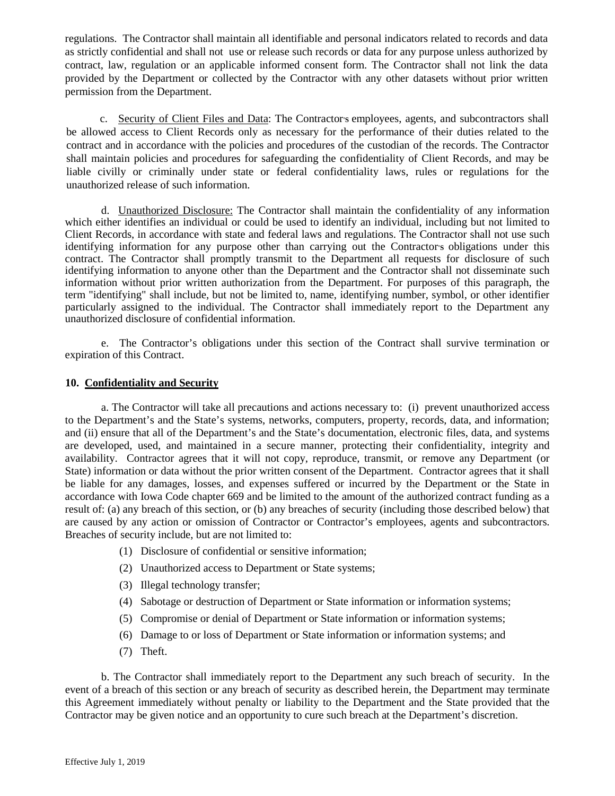regulations. The Contractor shall maintain all identifiable and personal indicators related to records and data as strictly confidential and shall not use or release such records or data for any purpose unless authorized by contract, law, regulation or an applicable informed consent form. The Contractor shall not link the data provided by the Department or collected by the Contractor with any other datasets without prior written permission from the Department.

c. Security of Client Files and Data: The Contractor**'S** employees, agents, and subcontractors shall be allowed access to Client Records only as necessary for the performance of their duties related to the contract and in accordance with the policies and procedures of the custodian of the records. The Contractor shall maintain policies and procedures for safeguarding the confidentiality of Client Records, and may be liable civilly or criminally under state or federal confidentiality laws, rules or regulations for the unauthorized release of such information.

d. Unauthorized Disclosure: The Contractor shall maintain the confidentiality of any information which either identifies an individual or could be used to identify an individual, including but not limited to Client Records, in accordance with state and federal laws and regulations. The Contractor shall not use such identifying information for any purpose other than carrying out the Contractor**'S** obligations under this contract. The Contractor shall promptly transmit to the Department all requests for disclosure of such identifying information to anyone other than the Department and the Contractor shall not disseminate such information without prior written authorization from the Department. For purposes of this paragraph, the term "identifying" shall include, but not be limited to, name, identifying number, symbol, or other identifier particularly assigned to the individual. The Contractor shall immediately report to the Department any unauthorized disclosure of confidential information.

e. The Contractor's obligations under this section of the Contract shall survive termination or expiration of this Contract.

#### **10. Confidentiality and Security**

a. The Contractor will take all precautions and actions necessary to: (i) prevent unauthorized access to the Department's and the State's systems, networks, computers, property, records, data, and information; and (ii) ensure that all of the Department's and the State's documentation, electronic files, data, and systems are developed, used, and maintained in a secure manner, protecting their confidentiality, integrity and availability. Contractor agrees that it will not copy, reproduce, transmit, or remove any Department (or State) information or data without the prior written consent of the Department. Contractor agrees that it shall be liable for any damages, losses, and expenses suffered or incurred by the Department or the State in accordance with Iowa Code chapter 669 and be limited to the amount of the authorized contract funding as a result of: (a) any breach of this section, or (b) any breaches of security (including those described below) that are caused by any action or omission of Contractor or Contractor's employees, agents and subcontractors. Breaches of security include, but are not limited to:

- (1) Disclosure of confidential or sensitive information;
- (2) Unauthorized access to Department or State systems;
- (3) Illegal technology transfer;
- (4) Sabotage or destruction of Department or State information or information systems;
- (5) Compromise or denial of Department or State information or information systems;
- (6) Damage to or loss of Department or State information or information systems; and
- (7) Theft.

b. The Contractor shall immediately report to the Department any such breach of security. In the event of a breach of this section or any breach of security as described herein, the Department may terminate this Agreement immediately without penalty or liability to the Department and the State provided that the Contractor may be given notice and an opportunity to cure such breach at the Department's discretion.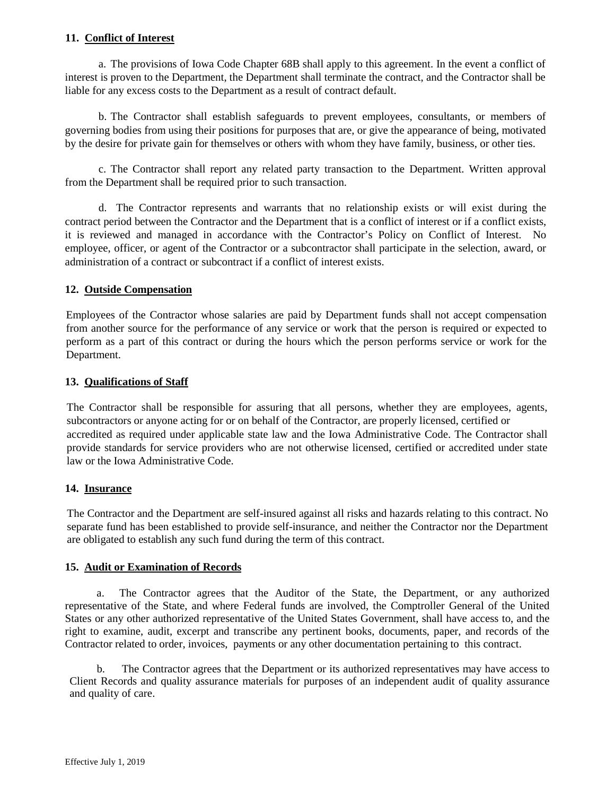# **11. Conflict of Interest**

a. The provisions of Iowa Code Chapter 68B shall apply to this agreement. In the event a conflict of interest is proven to the Department, the Department shall terminate the contract, and the Contractor shall be liable for any excess costs to the Department as a result of contract default.

b. The Contractor shall establish safeguards to prevent employees, consultants, or members of governing bodies from using their positions for purposes that are, or give the appearance of being, motivated by the desire for private gain for themselves or others with whom they have family, business, or other ties.

c. The Contractor shall report any related party transaction to the Department. Written approval from the Department shall be required prior to such transaction.

d. The Contractor represents and warrants that no relationship exists or will exist during the contract period between the Contractor and the Department that is a conflict of interest or if a conflict exists, it is reviewed and managed in accordance with the Contractor's Policy on Conflict of Interest. No employee, officer, or agent of the Contractor or a subcontractor shall participate in the selection, award, or administration of a contract or subcontract if a conflict of interest exists.

# **12. Outside Compensation**

Employees of the Contractor whose salaries are paid by Department funds shall not accept compensation from another source for the performance of any service or work that the person is required or expected to perform as a part of this contract or during the hours which the person performs service or work for the Department.

# **13. Qualifications of Staff**

The Contractor shall be responsible for assuring that all persons, whether they are employees, agents, subcontractors or anyone acting for or on behalf of the Contractor, are properly licensed, certified or accredited as required under applicable state law and the Iowa Administrative Code. The Contractor shall provide standards for service providers who are not otherwise licensed, certified or accredited under state law or the Iowa Administrative Code.

# **14. Insurance**

The Contractor and the Department are self-insured against all risks and hazards relating to this contract. No separate fund has been established to provide self-insurance, and neither the Contractor nor the Department are obligated to establish any such fund during the term of this contract.

# **15. Audit or Examination of Records**

a. The Contractor agrees that the Auditor of the State, the Department, or any authorized representative of the State, and where Federal funds are involved, the Comptroller General of the United States or any other authorized representative of the United States Government, shall have access to, and the right to examine, audit, excerpt and transcribe any pertinent books, documents, paper, and records of the Contractor related to order, invoices, payments or any other documentation pertaining to this contract.

b. The Contractor agrees that the Department or its authorized representatives may have access to Client Records and quality assurance materials for purposes of an independent audit of quality assurance and quality of care.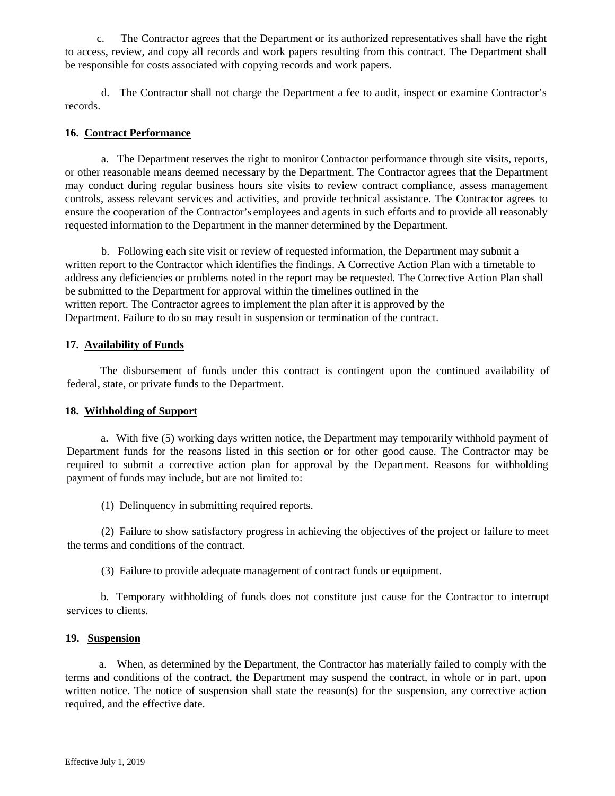c. The Contractor agrees that the Department or its authorized representatives shall have the right to access, review, and copy all records and work papers resulting from this contract. The Department shall be responsible for costs associated with copying records and work papers.

d. The Contractor shall not charge the Department a fee to audit, inspect or examine Contractor's records.

#### **16. Contract Performance**

a. The Department reserves the right to monitor Contractor performance through site visits, reports, or other reasonable means deemed necessary by the Department. The Contractor agrees that the Department may conduct during regular business hours site visits to review contract compliance, assess management controls, assess relevant services and activities, and provide technical assistance. The Contractor agrees to ensure the cooperation of the Contractor'**S** employees and agents in such efforts and to provide all reasonably requested information to the Department in the manner determined by the Department.

b. Following each site visit or review of requested information, the Department may submit a written report to the Contractor which identifies the findings. A Corrective Action Plan with a timetable to address any deficiencies or problems noted in the report may be requested. The Corrective Action Plan shall be submitted to the Department for approval within the timelines outlined in the written report. The Contractor agrees to implement the plan after it is approved by the Department. Failure to do so may result in suspension or termination of the contract.

# **17. Availability of Funds**

The disbursement of funds under this contract is contingent upon the continued availability of federal, state, or private funds to the Department.

# **18. Withholding of Support**

a. With five (5) working days written notice, the Department may temporarily withhold payment of Department funds for the reasons listed in this section or for other good cause. The Contractor may be required to submit a corrective action plan for approval by the Department. Reasons for withholding payment of funds may include, but are not limited to:

(1) Delinquency in submitting required reports.

(2) Failure to show satisfactory progress in achieving the objectives of the project or failure to meet the terms and conditions of the contract.

(3) Failure to provide adequate management of contract funds or equipment.

b. Temporary withholding of funds does not constitute just cause for the Contractor to interrupt services to clients.

# **19. Suspension**

a. When, as determined by the Department, the Contractor has materially failed to comply with the terms and conditions of the contract, the Department may suspend the contract, in whole or in part, upon written notice. The notice of suspension shall state the reason(s) for the suspension, any corrective action required, and the effective date.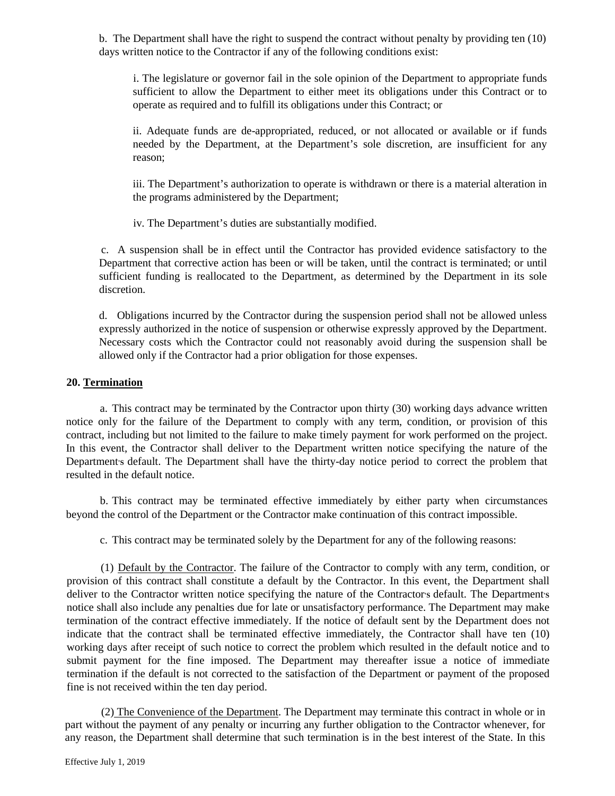b. The Department shall have the right to suspend the contract without penalty by providing ten (10) days written notice to the Contractor if any of the following conditions exist:

i. The legislature or governor fail in the sole opinion of the Department to appropriate funds sufficient to allow the Department to either meet its obligations under this Contract or to operate as required and to fulfill its obligations under this Contract; or

ii. Adequate funds are de-appropriated, reduced, or not allocated or available or if funds needed by the Department, at the Department's sole discretion, are insufficient for any reason;

iii. The Department's authorization to operate is withdrawn or there is a material alteration in the programs administered by the Department;

iv. The Department's duties are substantially modified.

c. A suspension shall be in effect until the Contractor has provided evidence satisfactory to the Department that corrective action has been or will be taken, until the contract is terminated; or until sufficient funding is reallocated to the Department, as determined by the Department in its sole discretion.

d. Obligations incurred by the Contractor during the suspension period shall not be allowed unless expressly authorized in the notice of suspension or otherwise expressly approved by the Department. Necessary costs which the Contractor could not reasonably avoid during the suspension shall be allowed only if the Contractor had a prior obligation for those expenses.

# **20. Termination**

a. This contract may be terminated by the Contractor upon thirty (30) working days advance written notice only for the failure of the Department to comply with any term, condition, or provision of this contract, including but not limited to the failure to make timely payment for work performed on the project. In this event, the Contractor shall deliver to the Department written notice specifying the nature of the Department**'S** default. The Department shall have the thirty-day notice period to correct the problem that resulted in the default notice.

b. This contract may be terminated effective immediately by either party when circumstances beyond the control of the Department or the Contractor make continuation of this contract impossible.

c. This contract may be terminated solely by the Department for any of the following reasons:

(1) Default by the Contractor. The failure of the Contractor to comply with any term, condition, or provision of this contract shall constitute a default by the Contractor. In this event, the Department shall deliver to the Contractor written notice specifying the nature of the Contractors default. The Departments notice shall also include any penalties due for late or unsatisfactory performance. The Department may make termination of the contract effective immediately. If the notice of default sent by the Department does not indicate that the contract shall be terminated effective immediately, the Contractor shall have ten (10) working days after receipt of such notice to correct the problem which resulted in the default notice and to submit payment for the fine imposed. The Department may thereafter issue a notice of immediate termination if the default is not corrected to the satisfaction of the Department or payment of the proposed fine is not received within the ten day period.

(2) The Convenience of the Department. The Department may terminate this contract in whole or in part without the payment of any penalty or incurring any further obligation to the Contractor whenever, for any reason, the Department shall determine that such termination is in the best interest of the State. In this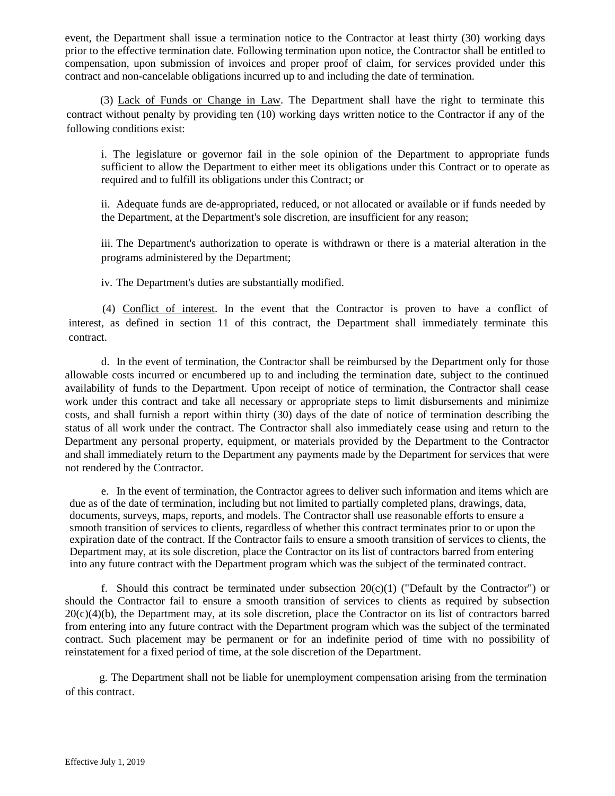event, the Department shall issue a termination notice to the Contractor at least thirty (30) working days prior to the effective termination date. Following termination upon notice, the Contractor shall be entitled to compensation, upon submission of invoices and proper proof of claim, for services provided under this contract and non-cancelable obligations incurred up to and including the date of termination.

(3) Lack of Funds or Change in Law. The Department shall have the right to terminate this contract without penalty by providing ten (10) working days written notice to the Contractor if any of the following conditions exist:

i. The legislature or governor fail in the sole opinion of the Department to appropriate funds sufficient to allow the Department to either meet its obligations under this Contract or to operate as required and to fulfill its obligations under this Contract; or

ii. Adequate funds are de-appropriated, reduced, or not allocated or available or if funds needed by the Department, at the Department's sole discretion, are insufficient for any reason;

iii. The Department's authorization to operate is withdrawn or there is a material alteration in the programs administered by the Department;

iv. The Department's duties are substantially modified.

(4) Conflict of interest. In the event that the Contractor is proven to have a conflict of interest, as defined in section 11 of this contract, the Department shall immediately terminate this contract.

d. In the event of termination, the Contractor shall be reimbursed by the Department only for those allowable costs incurred or encumbered up to and including the termination date, subject to the continued availability of funds to the Department. Upon receipt of notice of termination, the Contractor shall cease work under this contract and take all necessary or appropriate steps to limit disbursements and minimize costs, and shall furnish a report within thirty (30) days of the date of notice of termination describing the status of all work under the contract. The Contractor shall also immediately cease using and return to the Department any personal property, equipment, or materials provided by the Department to the Contractor and shall immediately return to the Department any payments made by the Department for services that were not rendered by the Contractor.

e. In the event of termination, the Contractor agrees to deliver such information and items which are due as of the date of termination, including but not limited to partially completed plans, drawings, data, documents, surveys, maps, reports, and models. The Contractor shall use reasonable efforts to ensure a smooth transition of services to clients, regardless of whether this contract terminates prior to or upon the expiration date of the contract. If the Contractor fails to ensure a smooth transition of services to clients, the Department may, at its sole discretion, place the Contractor on its list of contractors barred from entering into any future contract with the Department program which was the subject of the terminated contract.

f. Should this contract be terminated under subsection  $20(c)(1)$  ("Default by the Contractor") or should the Contractor fail to ensure a smooth transition of services to clients as required by subsection 20(c)(4)(b), the Department may, at its sole discretion, place the Contractor on its list of contractors barred from entering into any future contract with the Department program which was the subject of the terminated contract. Such placement may be permanent or for an indefinite period of time with no possibility of reinstatement for a fixed period of time, at the sole discretion of the Department.

g. The Department shall not be liable for unemployment compensation arising from the termination of this contract.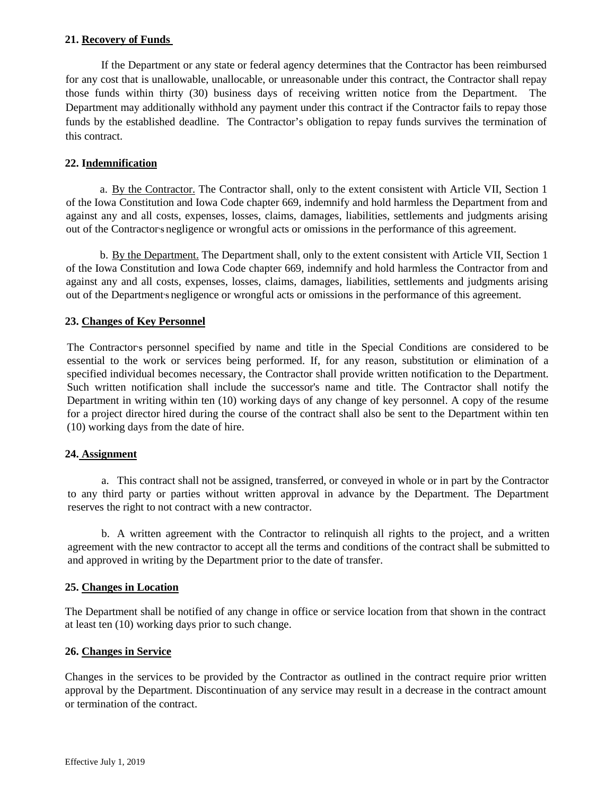#### **21. Recovery of Funds**

If the Department or any state or federal agency determines that the Contractor has been reimbursed for any cost that is unallowable, unallocable, or unreasonable under this contract, the Contractor shall repay those funds within thirty (30) business days of receiving written notice from the Department. The Department may additionally withhold any payment under this contract if the Contractor fails to repay those funds by the established deadline. The Contractor's obligation to repay funds survives the termination of this contract.

# **22. Indemnification**

a. By the Contractor. The Contractor shall, only to the extent consistent with Article VII, Section 1 of the Iowa Constitution and Iowa Code chapter 669, indemnify and hold harmless the Department from and against any and all costs, expenses, losses, claims, damages, liabilities, settlements and judgments arising out of the Contractor**'S** negligence or wrongful acts or omissions in the performance of this agreement.

b. By the Department. The Department shall, only to the extent consistent with Article VII, Section 1 of the Iowa Constitution and Iowa Code chapter 669, indemnify and hold harmless the Contractor from and against any and all costs, expenses, losses, claims, damages, liabilities, settlements and judgments arising out of the Department**'S** negligence or wrongful acts or omissions in the performance of this agreement.

# **23. Changes of Key Personnel**

The Contractor**'S** personnel specified by name and title in the Special Conditions are considered to be essential to the work or services being performed. If, for any reason, substitution or elimination of a specified individual becomes necessary, the Contractor shall provide written notification to the Department. Such written notification shall include the successor's name and title. The Contractor shall notify the Department in writing within ten (10) working days of any change of key personnel. A copy of the resume for a project director hired during the course of the contract shall also be sent to the Department within ten (10) working days from the date of hire.

# **24. Assignment**

a. This contract shall not be assigned, transferred, or conveyed in whole or in part by the Contractor to any third party or parties without written approval in advance by the Department. The Department reserves the right to not contract with a new contractor.

b. A written agreement with the Contractor to relinquish all rights to the project, and a written agreement with the new contractor to accept all the terms and conditions of the contract shall be submitted to and approved in writing by the Department prior to the date of transfer.

#### **25. Changes in Location**

The Department shall be notified of any change in office or service location from that shown in the contract at least ten (10) working days prior to such change.

#### **26. Changes in Service**

Changes in the services to be provided by the Contractor as outlined in the contract require prior written approval by the Department. Discontinuation of any service may result in a decrease in the contract amount or termination of the contract.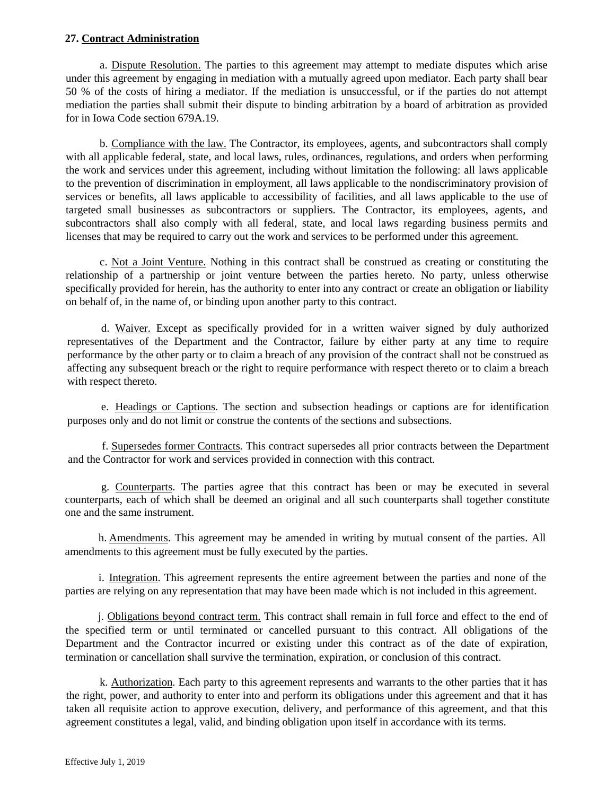## **27. Contract Administration**

a. Dispute Resolution. The parties to this agreement may attempt to mediate disputes which arise under this agreement by engaging in mediation with a mutually agreed upon mediator. Each party shall bear 50 % of the costs of hiring a mediator. If the mediation is unsuccessful, or if the parties do not attempt mediation the parties shall submit their dispute to binding arbitration by a board of arbitration as provided for in Iowa Code section 679A.19.

b. Compliance with the law. The Contractor, its employees, agents, and subcontractors shall comply with all applicable federal, state, and local laws, rules, ordinances, regulations, and orders when performing the work and services under this agreement, including without limitation the following: all laws applicable to the prevention of discrimination in employment, all laws applicable to the nondiscriminatory provision of services or benefits, all laws applicable to accessibility of facilities, and all laws applicable to the use of targeted small businesses as subcontractors or suppliers. The Contractor, its employees, agents, and subcontractors shall also comply with all federal, state, and local laws regarding business permits and licenses that may be required to carry out the work and services to be performed under this agreement.

c. Not a Joint Venture. Nothing in this contract shall be construed as creating or constituting the relationship of a partnership or joint venture between the parties hereto. No party, unless otherwise specifically provided for herein, has the authority to enter into any contract or create an obligation or liability on behalf of, in the name of, or binding upon another party to this contract.

d. Waiver. Except as specifically provided for in a written waiver signed by duly authorized representatives of the Department and the Contractor, failure by either party at any time to require performance by the other party or to claim a breach of any provision of the contract shall not be construed as affecting any subsequent breach or the right to require performance with respect thereto or to claim a breach with respect thereto.

e. Headings or Captions. The section and subsection headings or captions are for identification purposes only and do not limit or construe the contents of the sections and subsections.

f. Supersedes former Contracts. This contract supersedes all prior contracts between the Department and the Contractor for work and services provided in connection with this contract.

g. Counterparts. The parties agree that this contract has been or may be executed in several counterparts, each of which shall be deemed an original and all such counterparts shall together constitute one and the same instrument.

h. Amendments. This agreement may be amended in writing by mutual consent of the parties. All amendments to this agreement must be fully executed by the parties.

i. Integration. This agreement represents the entire agreement between the parties and none of the parties are relying on any representation that may have been made which is not included in this agreement.

j. Obligations beyond contract term. This contract shall remain in full force and effect to the end of the specified term or until terminated or cancelled pursuant to this contract. All obligations of the Department and the Contractor incurred or existing under this contract as of the date of expiration, termination or cancellation shall survive the termination, expiration, or conclusion of this contract.

k. Authorization. Each party to this agreement represents and warrants to the other parties that it has the right, power, and authority to enter into and perform its obligations under this agreement and that it has taken all requisite action to approve execution, delivery, and performance of this agreement, and that this agreement constitutes a legal, valid, and binding obligation upon itself in accordance with its terms.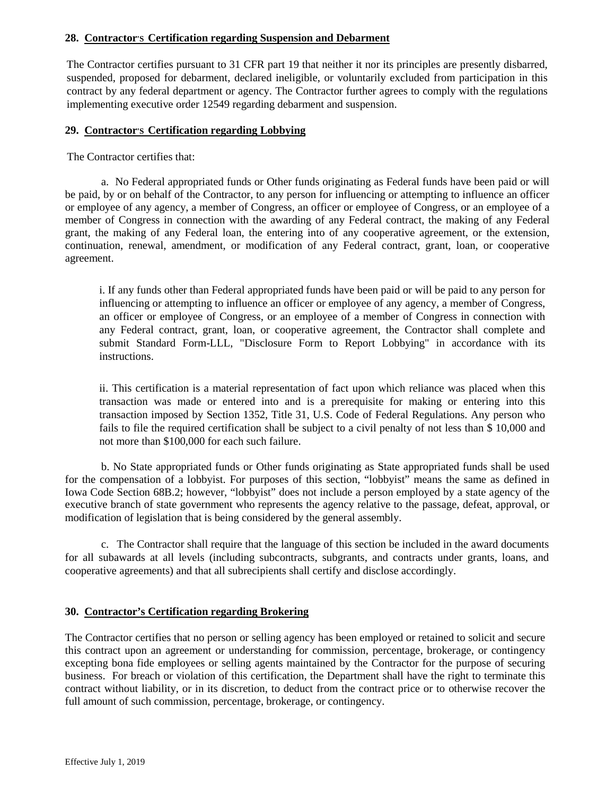# **28. Contractor'S Certification regarding Suspension and Debarment**

The Contractor certifies pursuant to 31 CFR part 19 that neither it nor its principles are presently disbarred, suspended, proposed for debarment, declared ineligible, or voluntarily excluded from participation in this contract by any federal department or agency. The Contractor further agrees to comply with the regulations implementing executive order 12549 regarding debarment and suspension.

#### **29. Contractor'S Certification regarding Lobbying**

The Contractor certifies that:

a. No Federal appropriated funds or Other funds originating as Federal funds have been paid or will be paid, by or on behalf of the Contractor, to any person for influencing or attempting to influence an officer or employee of any agency, a member of Congress, an officer or employee of Congress, or an employee of a member of Congress in connection with the awarding of any Federal contract, the making of any Federal grant, the making of any Federal loan, the entering into of any cooperative agreement, or the extension, continuation, renewal, amendment, or modification of any Federal contract, grant, loan, or cooperative agreement.

i. If any funds other than Federal appropriated funds have been paid or will be paid to any person for influencing or attempting to influence an officer or employee of any agency, a member of Congress, an officer or employee of Congress, or an employee of a member of Congress in connection with any Federal contract, grant, loan, or cooperative agreement, the Contractor shall complete and submit Standard Form-LLL, "Disclosure Form to Report Lobbying" in accordance with its instructions.

ii. This certification is a material representation of fact upon which reliance was placed when this transaction was made or entered into and is a prerequisite for making or entering into this transaction imposed by Section 1352, Title 31, U.S. Code of Federal Regulations. Any person who fails to file the required certification shall be subject to a civil penalty of not less than \$ 10,000 and not more than \$100,000 for each such failure.

b. No State appropriated funds or Other funds originating as State appropriated funds shall be used for the compensation of a lobbyist. For purposes of this section, "lobbyist" means the same as defined in Iowa Code Section 68B.2; however, "lobbyist" does not include a person employed by a state agency of the executive branch of state government who represents the agency relative to the passage, defeat, approval, or modification of legislation that is being considered by the general assembly.

c. The Contractor shall require that the language of this section be included in the award documents for all subawards at all levels (including subcontracts, subgrants, and contracts under grants, loans, and cooperative agreements) and that all subrecipients shall certify and disclose accordingly.

# **30. Contractor's Certification regarding Brokering**

The Contractor certifies that no person or selling agency has been employed or retained to solicit and secure this contract upon an agreement or understanding for commission, percentage, brokerage, or contingency excepting bona fide employees or selling agents maintained by the Contractor for the purpose of securing business. For breach or violation of this certification, the Department shall have the right to terminate this contract without liability, or in its discretion, to deduct from the contract price or to otherwise recover the full amount of such commission, percentage, brokerage, or contingency.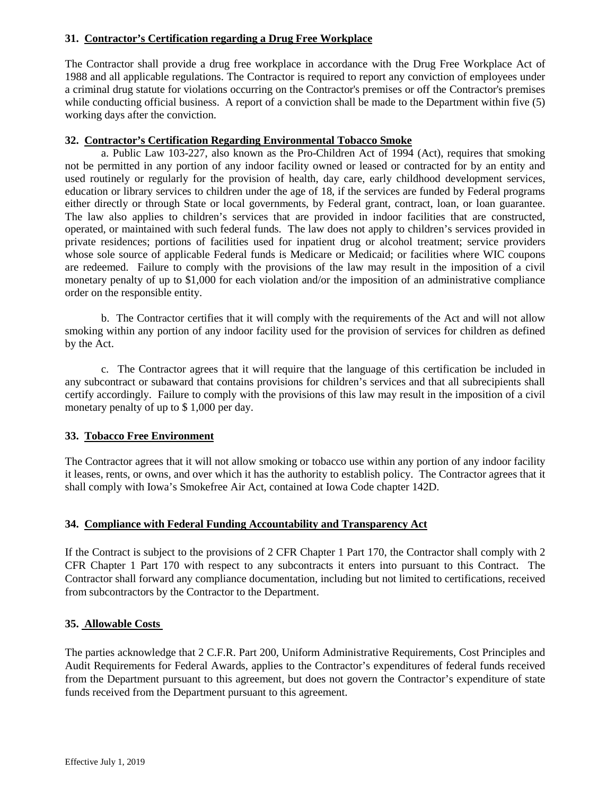# **31. Contractor's Certification regarding a Drug Free Workplace**

The Contractor shall provide a drug free workplace in accordance with the Drug Free Workplace Act of 1988 and all applicable regulations. The Contractor is required to report any conviction of employees under a criminal drug statute for violations occurring on the Contractor's premises or off the Contractor's premises while conducting official business. A report of a conviction shall be made to the Department within five (5) working days after the conviction.

# **32. Contractor's Certification Regarding Environmental Tobacco Smoke**

a. Public Law 103-227, also known as the Pro-Children Act of 1994 (Act), requires that smoking not be permitted in any portion of any indoor facility owned or leased or contracted for by an entity and used routinely or regularly for the provision of health, day care, early childhood development services, education or library services to children under the age of 18, if the services are funded by Federal programs either directly or through State or local governments, by Federal grant, contract, loan, or loan guarantee. The law also applies to children's services that are provided in indoor facilities that are constructed, operated, or maintained with such federal funds. The law does not apply to children's services provided in private residences; portions of facilities used for inpatient drug or alcohol treatment; service providers whose sole source of applicable Federal funds is Medicare or Medicaid; or facilities where WIC coupons are redeemed. Failure to comply with the provisions of the law may result in the imposition of a civil monetary penalty of up to \$1,000 for each violation and/or the imposition of an administrative compliance order on the responsible entity.

b. The Contractor certifies that it will comply with the requirements of the Act and will not allow smoking within any portion of any indoor facility used for the provision of services for children as defined by the Act.

c. The Contractor agrees that it will require that the language of this certification be included in any subcontract or subaward that contains provisions for children's services and that all subrecipients shall certify accordingly. Failure to comply with the provisions of this law may result in the imposition of a civil monetary penalty of up to \$ 1,000 per day.

# **33. Tobacco Free Environment**

The Contractor agrees that it will not allow smoking or tobacco use within any portion of any indoor facility it leases, rents, or owns, and over which it has the authority to establish policy. The Contractor agrees that it shall comply with Iowa's Smokefree Air Act, contained at Iowa Code chapter 142D.

# **34. Compliance with Federal Funding Accountability and Transparency Act**

If the Contract is subject to the provisions of 2 CFR Chapter 1 Part 170, the Contractor shall comply with 2 CFR Chapter 1 Part 170 with respect to any subcontracts it enters into pursuant to this Contract. The Contractor shall forward any compliance documentation, including but not limited to certifications, received from subcontractors by the Contractor to the Department.

# **35. Allowable Costs**

The parties acknowledge that 2 C.F.R. Part 200, Uniform Administrative Requirements, Cost Principles and Audit Requirements for Federal Awards, applies to the Contractor's expenditures of federal funds received from the Department pursuant to this agreement, but does not govern the Contractor's expenditure of state funds received from the Department pursuant to this agreement.